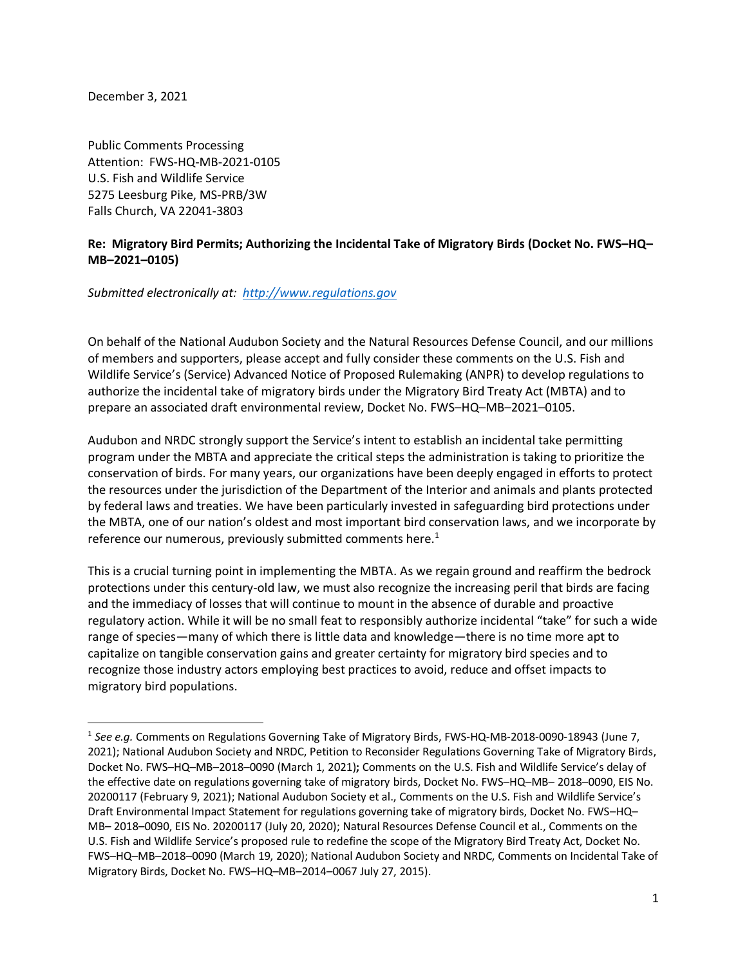December 3, 2021

Public Comments Processing Attention: FWS-HQ-MB-2021-0105 U.S. Fish and Wildlife Service 5275 Leesburg Pike, MS-PRB/3W Falls Church, VA 22041-3803

# **Re: Migratory Bird Permits; Authorizing the Incidental Take of Migratory Birds (Docket No. FWS–HQ– MB–2021–0105)**

*Submitted electronically at: http://www.regulations.gov* 

On behalf of the National Audubon Society and the Natural Resources Defense Council, and our millions of members and supporters, please accept and fully consider these comments on the U.S. Fish and Wildlife Service's (Service) Advanced Notice of Proposed Rulemaking (ANPR) to develop regulations to authorize the incidental take of migratory birds under the Migratory Bird Treaty Act (MBTA) and to prepare an associated draft environmental review, Docket No. FWS–HQ–MB–2021–0105.

Audubon and NRDC strongly support the Service's intent to establish an incidental take permitting program under the MBTA and appreciate the critical steps the administration is taking to prioritize the conservation of birds. For many years, our organizations have been deeply engaged in efforts to protect the resources under the jurisdiction of the Department of the Interior and animals and plants protected by federal laws and treaties. We have been particularly invested in safeguarding bird protections under the MBTA, one of our nation's oldest and most important bird conservation laws, and we incorporate by reference our numerous, previously submitted comments here.<sup>1</sup>

This is a crucial turning point in implementing the MBTA. As we regain ground and reaffirm the bedrock protections under this century-old law, we must also recognize the increasing peril that birds are facing and the immediacy of losses that will continue to mount in the absence of durable and proactive regulatory action. While it will be no small feat to responsibly authorize incidental "take" for such a wide range of species—many of which there is little data and knowledge—there is no time more apt to capitalize on tangible conservation gains and greater certainty for migratory bird species and to recognize those industry actors employing best practices to avoid, reduce and offset impacts to migratory bird populations.

<sup>&</sup>lt;sup>1</sup> See e.g. Comments on Regulations Governing Take of Migratory Birds, FWS-HQ-MB-2018-0090-18943 (June 7, 2021); National Audubon Society and NRDC, Petition to Reconsider Regulations Governing Take of Migratory Birds, Docket No. FWS–HQ–MB–2018–0090 (March 1, 2021)**;** Comments on the U.S. Fish and Wildlife Service's delay of the effective date on regulations governing take of migratory birds, Docket No. FWS–HQ–MB– 2018–0090, EIS No. 20200117 (February 9, 2021); National Audubon Society et al., Comments on the U.S. Fish and Wildlife Service's Draft Environmental Impact Statement for regulations governing take of migratory birds, Docket No. FWS–HQ– MB– 2018–0090, EIS No. 20200117 (July 20, 2020); Natural Resources Defense Council et al., Comments on the U.S. Fish and Wildlife Service's proposed rule to redefine the scope of the Migratory Bird Treaty Act, Docket No. FWS–HQ–MB–2018–0090 (March 19, 2020); National Audubon Society and NRDC, Comments on Incidental Take of Migratory Birds, Docket No. FWS–HQ–MB–2014–0067 July 27, 2015).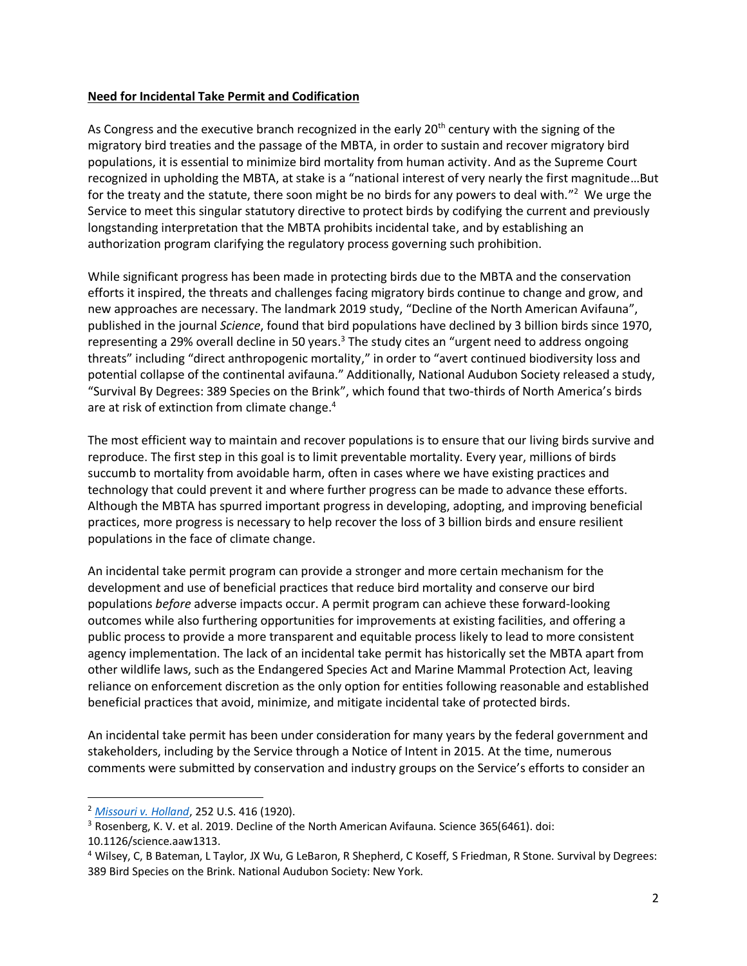### **Need for Incidental Take Permit and Codification**

As Congress and the executive branch recognized in the early  $20<sup>th</sup>$  century with the signing of the migratory bird treaties and the passage of the MBTA, in order to sustain and recover migratory bird populations, it is essential to minimize bird mortality from human activity. And as the Supreme Court recognized in upholding the MBTA, at stake is a "national interest of very nearly the first magnitude…But for the treaty and the statute, there soon might be no birds for any powers to deal with."<sup>2</sup> We urge the Service to meet this singular statutory directive to protect birds by codifying the current and previously longstanding interpretation that the MBTA prohibits incidental take, and by establishing an authorization program clarifying the regulatory process governing such prohibition.

While significant progress has been made in protecting birds due to the MBTA and the conservation efforts it inspired, the threats and challenges facing migratory birds continue to change and grow, and new approaches are necessary. The landmark 2019 study, "Decline of the North American Avifauna", published in the journal *Science*, found that bird populations have declined by 3 billion birds since 1970, representing a 29% overall decline in 50 years.<sup>3</sup> The study cites an "urgent need to address ongoing threats" including "direct anthropogenic mortality," in order to "avert continued biodiversity loss and potential collapse of the continental avifauna." Additionally, National Audubon Society released a study, "Survival By Degrees: 389 Species on the Brink", which found that two-thirds of North America's birds are at risk of extinction from climate change. 4

The most efficient way to maintain and recover populations is to ensure that our living birds survive and reproduce. The first step in this goal is to limit preventable mortality. Every year, millions of birds succumb to mortality from avoidable harm, often in cases where we have existing practices and technology that could prevent it and where further progress can be made to advance these efforts. Although the MBTA has spurred important progress in developing, adopting, and improving beneficial practices, more progress is necessary to help recover the loss of 3 billion birds and ensure resilient populations in the face of climate change.

An incidental take permit program can provide a stronger and more certain mechanism for the development and use of beneficial practices that reduce bird mortality and conserve our bird populations *before* adverse impacts occur. A permit program can achieve these forward-looking outcomes while also furthering opportunities for improvements at existing facilities, and offering a public process to provide a more transparent and equitable process likely to lead to more consistent agency implementation. The lack of an incidental take permit has historically set the MBTA apart from other wildlife laws, such as the Endangered Species Act and Marine Mammal Protection Act, leaving reliance on enforcement discretion as the only option for entities following reasonable and established beneficial practices that avoid, minimize, and mitigate incidental take of protected birds.

An incidental take permit has been under consideration for many years by the federal government and stakeholders, including by the Service through a Notice of Intent in 2015. At the time, numerous comments were submitted by conservation and industry groups on the Service's efforts to consider an

<sup>2</sup> *[Missouri v. Holland](https://supreme.justia.com/cases/federal/us/252/416/)*, 252 U.S. 416 (1920).

<sup>&</sup>lt;sup>3</sup> Rosenberg, K. V. et al. 2019. Decline of the North American Avifauna. Science 365(6461). doi:

<sup>10.1126/</sup>science.aaw1313.

<sup>4</sup> Wilsey, C, B Bateman, L Taylor, JX Wu, G LeBaron, R Shepherd, C Koseff, S Friedman, R Stone. Survival by Degrees: 389 Bird Species on the Brink. National Audubon Society: New York.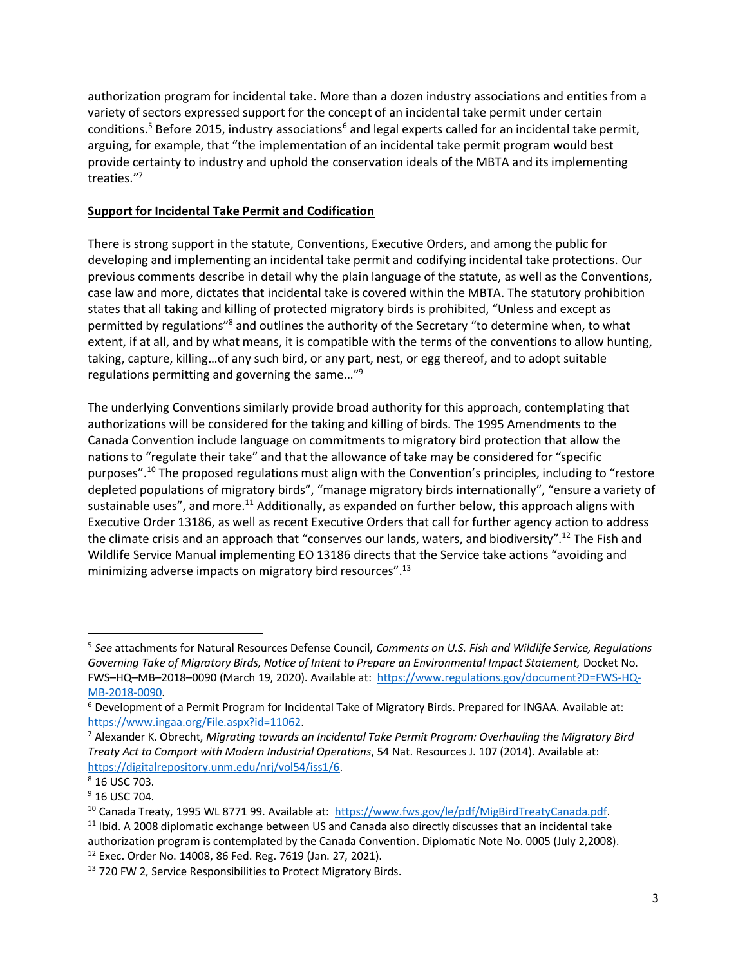authorization program for incidental take. More than a dozen industry associations and entities from a variety of sectors expressed support for the concept of an incidental take permit under certain conditions.<sup>5</sup> Before 2015, industry associations<sup>6</sup> and legal experts called for an incidental take permit, arguing, for example, that "the implementation of an incidental take permit program would best provide certainty to industry and uphold the conservation ideals of the MBTA and its implementing treaties."<sup>7</sup>

## **Support for Incidental Take Permit and Codification**

There is strong support in the statute, Conventions, Executive Orders, and among the public for developing and implementing an incidental take permit and codifying incidental take protections. Our previous comments describe in detail why the plain language of the statute, as well as the Conventions, case law and more, dictates that incidental take is covered within the MBTA. The statutory prohibition states that all taking and killing of protected migratory birds is prohibited, "Unless and except as permitted by regulations"<sup>8</sup> and outlines the authority of the Secretary "to determine when, to what extent, if at all, and by what means, it is compatible with the terms of the conventions to allow hunting, taking, capture, killing…of any such bird, or any part, nest, or egg thereof, and to adopt suitable regulations permitting and governing the same…" 9

The underlying Conventions similarly provide broad authority for this approach, contemplating that authorizations will be considered for the taking and killing of birds. The 1995 Amendments to the Canada Convention include language on commitments to migratory bird protection that allow the nations to "regulate their take" and that the allowance of take may be considered for "specific purposes".<sup>10</sup> The proposed regulations must align with the Convention's principles, including to "restore depleted populations of migratory birds", "manage migratory birds internationally", "ensure a variety of sustainable uses", and more.<sup>11</sup> Additionally, as expanded on further below, this approach aligns with Executive Order 13186, as well as recent Executive Orders that call for further agency action to address the climate crisis and an approach that "conserves our lands, waters, and biodiversity".<sup>12</sup> The Fish and Wildlife Service Manual implementing EO 13186 directs that the Service take actions "avoiding and minimizing adverse impacts on migratory bird resources".<sup>13</sup>

<sup>5</sup> *See* attachments for Natural Resources Defense Council, *Comments on U.S. Fish and Wildlife Service, Regulations*  Governing Take of Migratory Birds, Notice of Intent to Prepare an Environmental Impact Statement, Docket No. FWS–HQ–MB–2018–0090 (March 19, 2020). Available at: [https://www.regulations.gov/document?D=FWS-HQ-](https://www.regulations.gov/document?D=FWS-HQ-MB-2018-0090)[MB-2018-0090.](https://www.regulations.gov/document?D=FWS-HQ-MB-2018-0090)

<sup>6</sup> Development of a Permit Program for Incidental Take of Migratory Birds. Prepared for INGAA. Available at: [https://www.ingaa.org/File.aspx?id=11062.](https://www.ingaa.org/File.aspx?id=11062)

<sup>7</sup> Alexander K. Obrecht, *Migrating towards an Incidental Take Permit Program: Overhauling the Migratory Bird Treaty Act to Comport with Modern Industrial Operations*, 54 Nat. Resources J. 107 (2014). Available at: [https://digitalrepository.unm.edu/nrj/vol54/iss1/6.](https://digitalrepository.unm.edu/nrj/vol54/iss1/6)

<sup>8</sup> 16 USC 703.

 $9$  16 USC 704.

<sup>&</sup>lt;sup>10</sup> Canada Treaty, 1995 WL 8771 99. Available at: [https://www.fws.gov/le/pdf/MigBirdTreatyCanada.pdf.](https://www.fws.gov/le/pdf/MigBirdTreatyCanada.pdf)

 $11$  Ibid. A 2008 diplomatic exchange between US and Canada also directly discusses that an incidental take authorization program is contemplated by the Canada Convention. Diplomatic Note No. 0005 (July 2,2008). <sup>12</sup> Exec. Order No. 14008, 86 Fed. Reg. 7619 (Jan. 27, 2021).

<sup>&</sup>lt;sup>13</sup> 720 FW 2, Service Responsibilities to Protect Migratory Birds.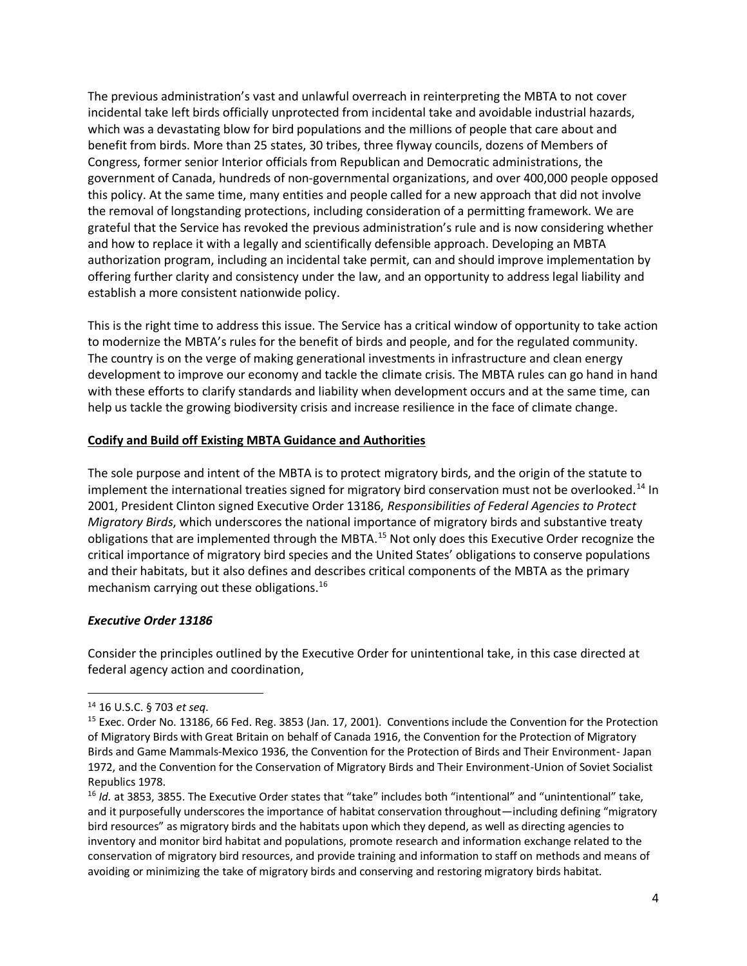The previous administration's vast and unlawful overreach in reinterpreting the MBTA to not cover incidental take left birds officially unprotected from incidental take and avoidable industrial hazards, which was a devastating blow for bird populations and the millions of people that care about and benefit from birds. More than 25 states, 30 tribes, three flyway councils, dozens of Members of Congress, former senior Interior officials from Republican and Democratic administrations, the government of Canada, hundreds of non-governmental organizations, and over 400,000 people opposed this policy. At the same time, many entities and people called for a new approach that did not involve the removal of longstanding protections, including consideration of a permitting framework. We are grateful that the Service has revoked the previous administration's rule and is now considering whether and how to replace it with a legally and scientifically defensible approach. Developing an MBTA authorization program, including an incidental take permit, can and should improve implementation by offering further clarity and consistency under the law, and an opportunity to address legal liability and establish a more consistent nationwide policy.

This is the right time to address this issue. The Service has a critical window of opportunity to take action to modernize the MBTA's rules for the benefit of birds and people, and for the regulated community. The country is on the verge of making generational investments in infrastructure and clean energy development to improve our economy and tackle the climate crisis. The MBTA rules can go hand in hand with these efforts to clarify standards and liability when development occurs and at the same time, can help us tackle the growing biodiversity crisis and increase resilience in the face of climate change.

# **Codify and Build off Existing MBTA Guidance and Authorities**

The sole purpose and intent of the MBTA is to protect migratory birds, and the origin of the statute to implement the international treaties signed for migratory bird conservation must not be overlooked.<sup>14</sup> In 2001, President Clinton signed Executive Order 13186, *Responsibilities of Federal Agencies to Protect Migratory Birds*, which underscores the national importance of migratory birds and substantive treaty obligations that are implemented through the MBTA.<sup>15</sup> Not only does this Executive Order recognize the critical importance of migratory bird species and the United States' obligations to conserve populations and their habitats, but it also defines and describes critical components of the MBTA as the primary mechanism carrying out these obligations.<sup>16</sup>

### *Executive Order 13186*

Consider the principles outlined by the Executive Order for unintentional take, in this case directed at federal agency action and coordination,

<sup>14</sup> 16 U.S.C. § 703 *et seq*.

<sup>&</sup>lt;sup>15</sup> Exec. Order No. 13186, 66 Fed. Reg. 3853 (Jan. 17, 2001). Conventions include the Convention for the Protection of Migratory Birds with Great Britain on behalf of Canada 1916, the Convention for the Protection of Migratory Birds and Game Mammals-Mexico 1936, the Convention for the Protection of Birds and Their Environment- Japan 1972, and the Convention for the Conservation of Migratory Birds and Their Environment-Union of Soviet Socialist Republics 1978.

<sup>16</sup> *Id.* at 3853, 3855. The Executive Order states that "take" includes both "intentional" and "unintentional" take, and it purposefully underscores the importance of habitat conservation throughout—including defining "migratory bird resources" as migratory birds and the habitats upon which they depend, as well as directing agencies to inventory and monitor bird habitat and populations, promote research and information exchange related to the conservation of migratory bird resources, and provide training and information to staff on methods and means of avoiding or minimizing the take of migratory birds and conserving and restoring migratory birds habitat.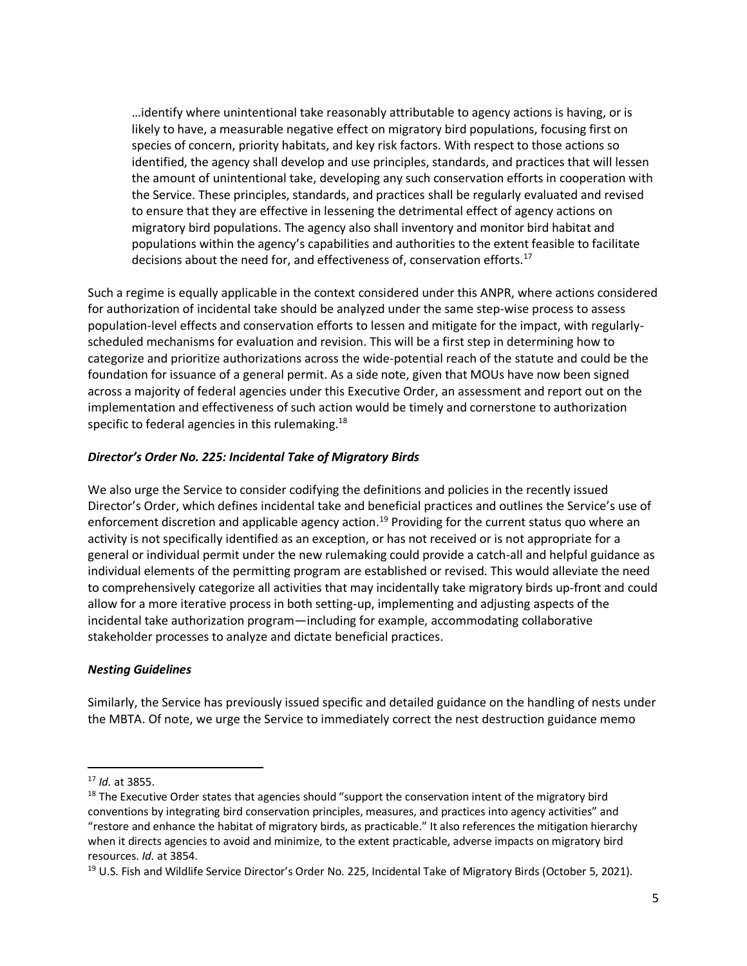…identify where unintentional take reasonably attributable to agency actions is having, or is likely to have, a measurable negative effect on migratory bird populations, focusing first on species of concern, priority habitats, and key risk factors. With respect to those actions so identified, the agency shall develop and use principles, standards, and practices that will lessen the amount of unintentional take, developing any such conservation efforts in cooperation with the Service. These principles, standards, and practices shall be regularly evaluated and revised to ensure that they are effective in lessening the detrimental effect of agency actions on migratory bird populations. The agency also shall inventory and monitor bird habitat and populations within the agency's capabilities and authorities to the extent feasible to facilitate decisions about the need for, and effectiveness of, conservation efforts.<sup>17</sup>

Such a regime is equally applicable in the context considered under this ANPR, where actions considered for authorization of incidental take should be analyzed under the same step-wise process to assess population-level effects and conservation efforts to lessen and mitigate for the impact, with regularlyscheduled mechanisms for evaluation and revision. This will be a first step in determining how to categorize and prioritize authorizations across the wide-potential reach of the statute and could be the foundation for issuance of a general permit. As a side note, given that MOUs have now been signed across a majority of federal agencies under this Executive Order, an assessment and report out on the implementation and effectiveness of such action would be timely and cornerstone to authorization specific to federal agencies in this rulemaking.<sup>18</sup>

## *Director's Order No. 225: Incidental Take of Migratory Birds*

We also urge the Service to consider codifying the definitions and policies in the recently issued Director's Order, which defines incidental take and beneficial practices and outlines the Service's use of enforcement discretion and applicable agency action.<sup>19</sup> Providing for the current status quo where an activity is not specifically identified as an exception, or has not received or is not appropriate for a general or individual permit under the new rulemaking could provide a catch-all and helpful guidance as individual elements of the permitting program are established or revised. This would alleviate the need to comprehensively categorize all activities that may incidentally take migratory birds up-front and could allow for a more iterative process in both setting-up, implementing and adjusting aspects of the incidental take authorization program—including for example, accommodating collaborative stakeholder processes to analyze and dictate beneficial practices.

### *Nesting Guidelines*

Similarly, the Service has previously issued specific and detailed guidance on the handling of nests under the MBTA. Of note, we urge the Service to immediately correct the nest destruction guidance memo

<sup>17</sup> *Id.* at 3855.

<sup>&</sup>lt;sup>18</sup> The Executive Order states that agencies should "support the conservation intent of the migratory bird conventions by integrating bird conservation principles, measures, and practices into agency activities" and "restore and enhance the habitat of migratory birds, as practicable." It also references the mitigation hierarchy when it directs agencies to avoid and minimize, to the extent practicable, adverse impacts on migratory bird resources. *Id.* at 3854.

<sup>&</sup>lt;sup>19</sup> U.S. Fish and Wildlife Service Director's Order No. 225, Incidental Take of Migratory Birds (October 5, 2021).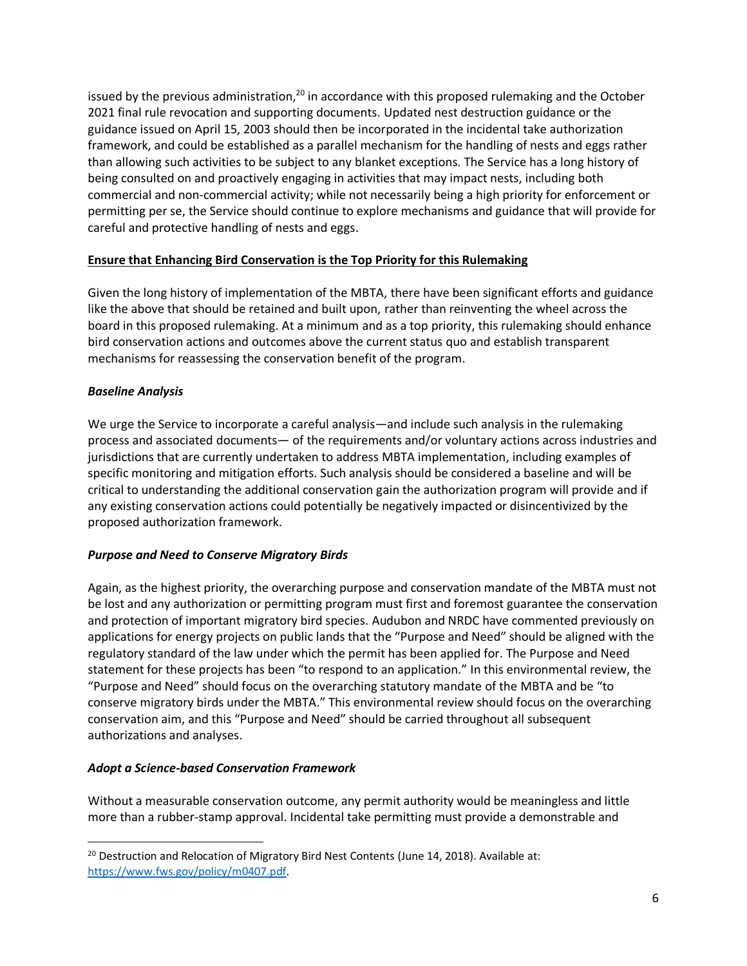issued by the previous administration,<sup>20</sup> in accordance with this proposed rulemaking and the October 2021 final rule revocation and supporting documents. Updated nest destruction guidance or the guidance issued on April 15, 2003 should then be incorporated in the incidental take authorization framework, and could be established as a parallel mechanism for the handling of nests and eggs rather than allowing such activities to be subject to any blanket exceptions. The Service has a long history of being consulted on and proactively engaging in activities that may impact nests, including both commercial and non-commercial activity; while not necessarily being a high priority for enforcement or permitting per se, the Service should continue to explore mechanisms and guidance that will provide for careful and protective handling of nests and eggs.

## **Ensure that Enhancing Bird Conservation is the Top Priority for this Rulemaking**

Given the long history of implementation of the MBTA, there have been significant efforts and guidance like the above that should be retained and built upon, rather than reinventing the wheel across the board in this proposed rulemaking. At a minimum and as a top priority, this rulemaking should enhance bird conservation actions and outcomes above the current status quo and establish transparent mechanisms for reassessing the conservation benefit of the program.

## *Baseline Analysis*

We urge the Service to incorporate a careful analysis—and include such analysis in the rulemaking process and associated documents— of the requirements and/or voluntary actions across industries and jurisdictions that are currently undertaken to address MBTA implementation, including examples of specific monitoring and mitigation efforts. Such analysis should be considered a baseline and will be critical to understanding the additional conservation gain the authorization program will provide and if any existing conservation actions could potentially be negatively impacted or disincentivized by the proposed authorization framework.

### *Purpose and Need to Conserve Migratory Birds*

Again, as the highest priority, the overarching purpose and conservation mandate of the MBTA must not be lost and any authorization or permitting program must first and foremost guarantee the conservation and protection of important migratory bird species. Audubon and NRDC have commented previously on applications for energy projects on public lands that the "Purpose and Need" should be aligned with the regulatory standard of the law under which the permit has been applied for. The Purpose and Need statement for these projects has been "to respond to an application." In this environmental review, the "Purpose and Need" should focus on the overarching statutory mandate of the MBTA and be "to conserve migratory birds under the MBTA." This environmental review should focus on the overarching conservation aim, and this "Purpose and Need" should be carried throughout all subsequent authorizations and analyses.

### *Adopt a Science-based Conservation Framework*

Without a measurable conservation outcome, any permit authority would be meaningless and little more than a rubber-stamp approval. Incidental take permitting must provide a demonstrable and

 $20$  Destruction and Relocation of Migratory Bird Nest Contents (June 14, 2018). Available at: [https://www.fws.gov/policy/m0407.pdf.](https://www.fws.gov/policy/m0407.pdf)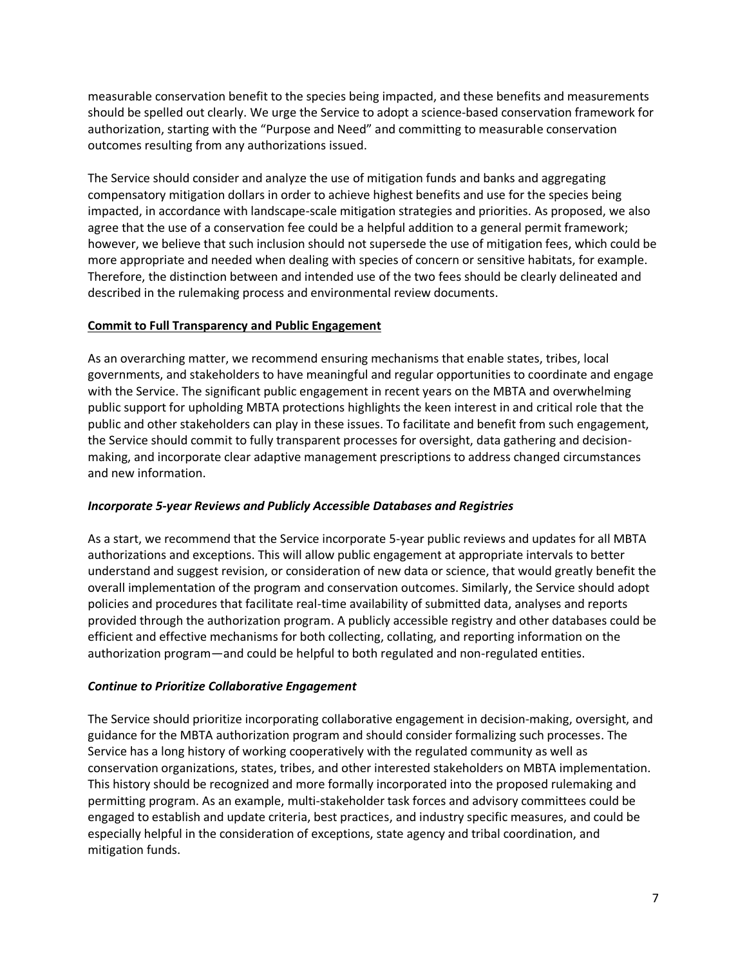measurable conservation benefit to the species being impacted, and these benefits and measurements should be spelled out clearly. We urge the Service to adopt a science-based conservation framework for authorization, starting with the "Purpose and Need" and committing to measurable conservation outcomes resulting from any authorizations issued.

The Service should consider and analyze the use of mitigation funds and banks and aggregating compensatory mitigation dollars in order to achieve highest benefits and use for the species being impacted, in accordance with landscape-scale mitigation strategies and priorities. As proposed, we also agree that the use of a conservation fee could be a helpful addition to a general permit framework; however, we believe that such inclusion should not supersede the use of mitigation fees, which could be more appropriate and needed when dealing with species of concern or sensitive habitats, for example. Therefore, the distinction between and intended use of the two fees should be clearly delineated and described in the rulemaking process and environmental review documents.

## **Commit to Full Transparency and Public Engagement**

As an overarching matter, we recommend ensuring mechanisms that enable states, tribes, local governments, and stakeholders to have meaningful and regular opportunities to coordinate and engage with the Service. The significant public engagement in recent years on the MBTA and overwhelming public support for upholding MBTA protections highlights the keen interest in and critical role that the public and other stakeholders can play in these issues. To facilitate and benefit from such engagement, the Service should commit to fully transparent processes for oversight, data gathering and decisionmaking, and incorporate clear adaptive management prescriptions to address changed circumstances and new information.

### *Incorporate 5-year Reviews and Publicly Accessible Databases and Registries*

As a start, we recommend that the Service incorporate 5-year public reviews and updates for all MBTA authorizations and exceptions. This will allow public engagement at appropriate intervals to better understand and suggest revision, or consideration of new data or science, that would greatly benefit the overall implementation of the program and conservation outcomes. Similarly, the Service should adopt policies and procedures that facilitate real-time availability of submitted data, analyses and reports provided through the authorization program. A publicly accessible registry and other databases could be efficient and effective mechanisms for both collecting, collating, and reporting information on the authorization program—and could be helpful to both regulated and non-regulated entities.

### *Continue to Prioritize Collaborative Engagement*

The Service should prioritize incorporating collaborative engagement in decision-making, oversight, and guidance for the MBTA authorization program and should consider formalizing such processes. The Service has a long history of working cooperatively with the regulated community as well as conservation organizations, states, tribes, and other interested stakeholders on MBTA implementation. This history should be recognized and more formally incorporated into the proposed rulemaking and permitting program. As an example, multi-stakeholder task forces and advisory committees could be engaged to establish and update criteria, best practices, and industry specific measures, and could be especially helpful in the consideration of exceptions, state agency and tribal coordination, and mitigation funds.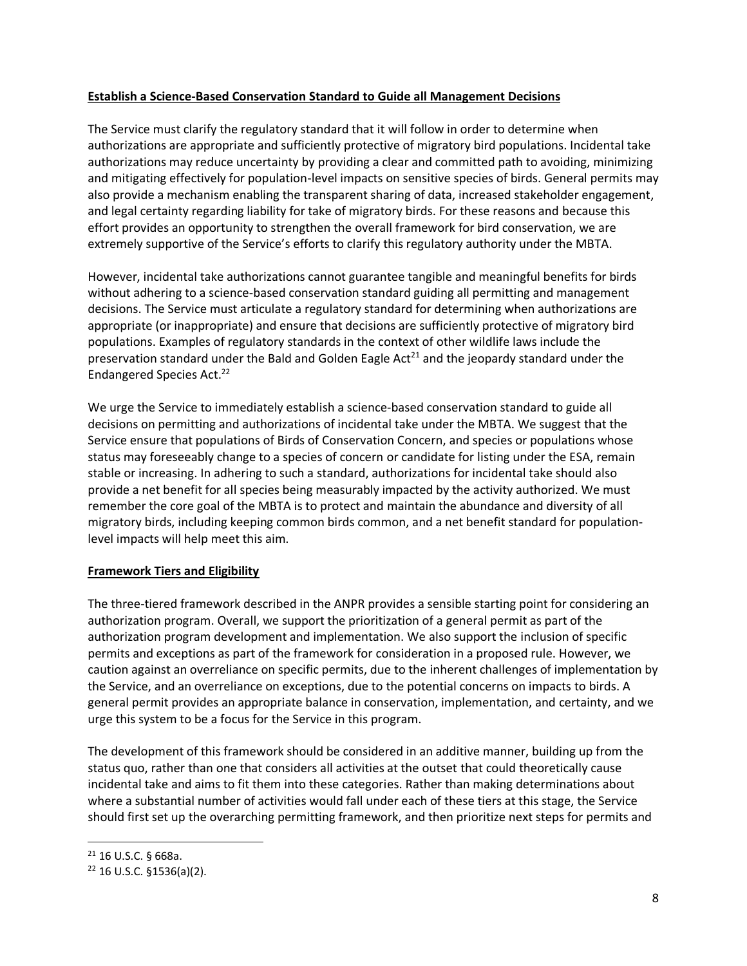### **Establish a Science-Based Conservation Standard to Guide all Management Decisions**

The Service must clarify the regulatory standard that it will follow in order to determine when authorizations are appropriate and sufficiently protective of migratory bird populations. Incidental take authorizations may reduce uncertainty by providing a clear and committed path to avoiding, minimizing and mitigating effectively for population-level impacts on sensitive species of birds. General permits may also provide a mechanism enabling the transparent sharing of data, increased stakeholder engagement, and legal certainty regarding liability for take of migratory birds. For these reasons and because this effort provides an opportunity to strengthen the overall framework for bird conservation, we are extremely supportive of the Service's efforts to clarify this regulatory authority under the MBTA.

However, incidental take authorizations cannot guarantee tangible and meaningful benefits for birds without adhering to a science-based conservation standard guiding all permitting and management decisions. The Service must articulate a regulatory standard for determining when authorizations are appropriate (or inappropriate) and ensure that decisions are sufficiently protective of migratory bird populations. Examples of regulatory standards in the context of other wildlife laws include the preservation standard under the Bald and Golden Eagle  $Act<sup>21</sup>$  and the jeopardy standard under the Endangered Species Act. 22

We urge the Service to immediately establish a science-based conservation standard to guide all decisions on permitting and authorizations of incidental take under the MBTA. We suggest that the Service ensure that populations of Birds of Conservation Concern, and species or populations whose status may foreseeably change to a species of concern or candidate for listing under the ESA, remain stable or increasing. In adhering to such a standard, authorizations for incidental take should also provide a net benefit for all species being measurably impacted by the activity authorized. We must remember the core goal of the MBTA is to protect and maintain the abundance and diversity of all migratory birds, including keeping common birds common, and a net benefit standard for populationlevel impacts will help meet this aim.

# **Framework Tiers and Eligibility**

The three-tiered framework described in the ANPR provides a sensible starting point for considering an authorization program. Overall, we support the prioritization of a general permit as part of the authorization program development and implementation. We also support the inclusion of specific permits and exceptions as part of the framework for consideration in a proposed rule. However, we caution against an overreliance on specific permits, due to the inherent challenges of implementation by the Service, and an overreliance on exceptions, due to the potential concerns on impacts to birds. A general permit provides an appropriate balance in conservation, implementation, and certainty, and we urge this system to be a focus for the Service in this program.

The development of this framework should be considered in an additive manner, building up from the status quo, rather than one that considers all activities at the outset that could theoretically cause incidental take and aims to fit them into these categories. Rather than making determinations about where a substantial number of activities would fall under each of these tiers at this stage, the Service should first set up the overarching permitting framework, and then prioritize next steps for permits and

<sup>21</sup> 16 U.S.C. § 668a.

<sup>22</sup> 16 U.S.C. §1536(a)(2).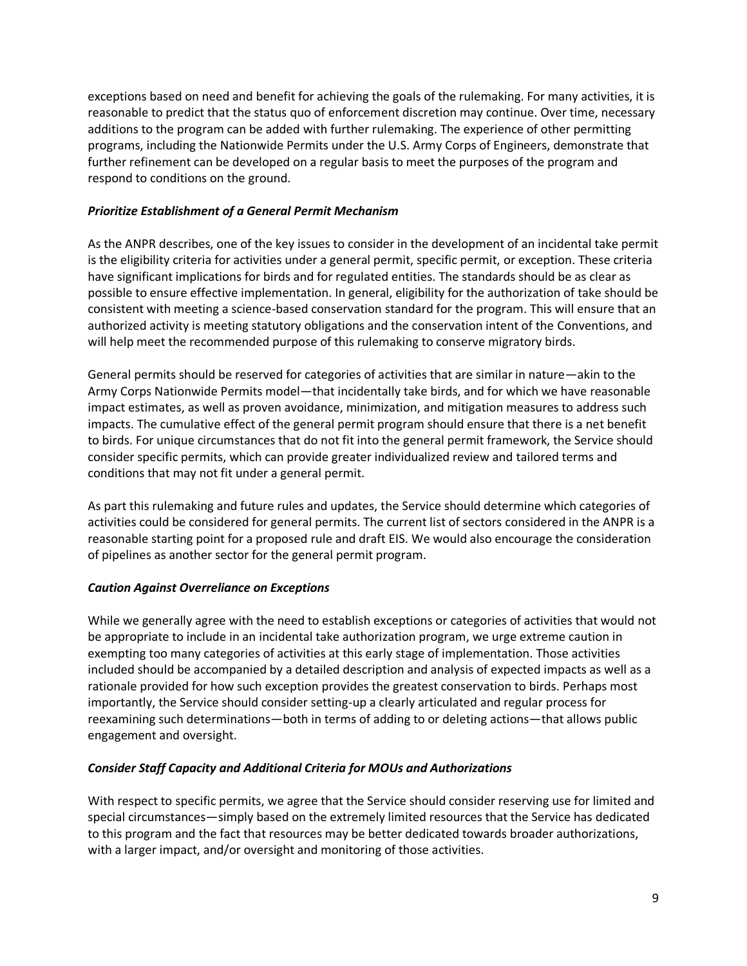exceptions based on need and benefit for achieving the goals of the rulemaking. For many activities, it is reasonable to predict that the status quo of enforcement discretion may continue. Over time, necessary additions to the program can be added with further rulemaking. The experience of other permitting programs, including the Nationwide Permits under the U.S. Army Corps of Engineers, demonstrate that further refinement can be developed on a regular basis to meet the purposes of the program and respond to conditions on the ground.

## *Prioritize Establishment of a General Permit Mechanism*

As the ANPR describes, one of the key issues to consider in the development of an incidental take permit is the eligibility criteria for activities under a general permit, specific permit, or exception. These criteria have significant implications for birds and for regulated entities. The standards should be as clear as possible to ensure effective implementation. In general, eligibility for the authorization of take should be consistent with meeting a science-based conservation standard for the program. This will ensure that an authorized activity is meeting statutory obligations and the conservation intent of the Conventions, and will help meet the recommended purpose of this rulemaking to conserve migratory birds.

General permits should be reserved for categories of activities that are similar in nature—akin to the Army Corps Nationwide Permits model—that incidentally take birds, and for which we have reasonable impact estimates, as well as proven avoidance, minimization, and mitigation measures to address such impacts. The cumulative effect of the general permit program should ensure that there is a net benefit to birds. For unique circumstances that do not fit into the general permit framework, the Service should consider specific permits, which can provide greater individualized review and tailored terms and conditions that may not fit under a general permit.

As part this rulemaking and future rules and updates, the Service should determine which categories of activities could be considered for general permits. The current list of sectors considered in the ANPR is a reasonable starting point for a proposed rule and draft EIS. We would also encourage the consideration of pipelines as another sector for the general permit program.

# *Caution Against Overreliance on Exceptions*

While we generally agree with the need to establish exceptions or categories of activities that would not be appropriate to include in an incidental take authorization program, we urge extreme caution in exempting too many categories of activities at this early stage of implementation. Those activities included should be accompanied by a detailed description and analysis of expected impacts as well as a rationale provided for how such exception provides the greatest conservation to birds. Perhaps most importantly, the Service should consider setting-up a clearly articulated and regular process for reexamining such determinations—both in terms of adding to or deleting actions—that allows public engagement and oversight.

### *Consider Staff Capacity and Additional Criteria for MOUs and Authorizations*

With respect to specific permits, we agree that the Service should consider reserving use for limited and special circumstances—simply based on the extremely limited resources that the Service has dedicated to this program and the fact that resources may be better dedicated towards broader authorizations, with a larger impact, and/or oversight and monitoring of those activities.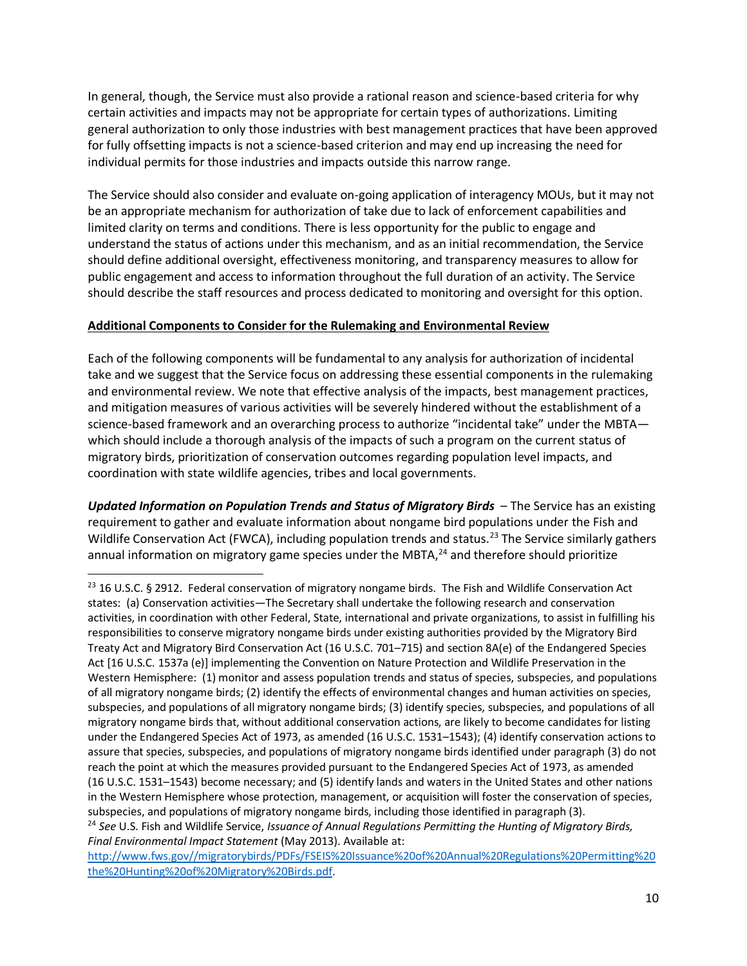In general, though, the Service must also provide a rational reason and science-based criteria for why certain activities and impacts may not be appropriate for certain types of authorizations. Limiting general authorization to only those industries with best management practices that have been approved for fully offsetting impacts is not a science-based criterion and may end up increasing the need for individual permits for those industries and impacts outside this narrow range.

The Service should also consider and evaluate on-going application of interagency MOUs, but it may not be an appropriate mechanism for authorization of take due to lack of enforcement capabilities and limited clarity on terms and conditions. There is less opportunity for the public to engage and understand the status of actions under this mechanism, and as an initial recommendation, the Service should define additional oversight, effectiveness monitoring, and transparency measures to allow for public engagement and access to information throughout the full duration of an activity. The Service should describe the staff resources and process dedicated to monitoring and oversight for this option.

## **Additional Components to Consider for the Rulemaking and Environmental Review**

Each of the following components will be fundamental to any analysis for authorization of incidental take and we suggest that the Service focus on addressing these essential components in the rulemaking and environmental review. We note that effective analysis of the impacts, best management practices, and mitigation measures of various activities will be severely hindered without the establishment of a science-based framework and an overarching process to authorize "incidental take" under the MBTA which should include a thorough analysis of the impacts of such a program on the current status of migratory birds, prioritization of conservation outcomes regarding population level impacts, and coordination with state wildlife agencies, tribes and local governments.

*Updated Information on Population Trends and Status of Migratory Birds* – The Service has an existing requirement to gather and evaluate information about nongame bird populations under the Fish and Wildlife Conservation Act (FWCA), including population trends and status.<sup>23</sup> The Service similarly gathers annual information on migratory game species under the MBTA, $^{24}$  and therefore should prioritize

[http://www.fws.gov//migratorybirds/PDFs/FSEIS%20Issuance%20of%20Annual%20Regulations%20Permitting%20](http://www.fws.gov/migratorybirds/PDFs/FSEIS%20Issuance%20of%20Annual%20Regulations%20Permitting%20the%20Hunting%20of%20Migratory%20Birds.pdf) [the%20Hunting%20of%20Migratory%20Birds.pdf.](http://www.fws.gov/migratorybirds/PDFs/FSEIS%20Issuance%20of%20Annual%20Regulations%20Permitting%20the%20Hunting%20of%20Migratory%20Birds.pdf) 

<sup>&</sup>lt;sup>23</sup> 16 U.S.C. § 2912. Federal conservation of migratory nongame birds. The Fish and Wildlife Conservation Act states: (a) Conservation activities—The Secretary shall undertake the following research and conservation activities, in coordination with other Federal, State, international and private organizations, to assist in fulfilling his responsibilities to conserve migratory nongame birds under existing authorities provided by the Migratory Bird Treaty Act and Migratory Bird Conservation Act (16 U.S.C. 701–715) and section 8A(e) of the Endangered Species Act [16 U.S.C. 1537a (e)] implementing the Convention on Nature Protection and Wildlife Preservation in the Western Hemisphere: (1) monitor and assess population trends and status of species, subspecies, and populations of all migratory nongame birds; (2) identify the effects of environmental changes and human activities on species, subspecies, and populations of all migratory nongame birds; (3) identify species, subspecies, and populations of all migratory nongame birds that, without additional conservation actions, are likely to become candidates for listing under the Endangered Species Act of 1973, as amended (16 U.S.C. 1531–1543); (4) identify conservation actions to assure that species, subspecies, and populations of migratory nongame birds identified under paragraph (3) do not reach the point at which the measures provided pursuant to the Endangered Species Act of 1973, as amended (16 U.S.C. 1531–1543) become necessary; and (5) identify lands and waters in the United States and other nations in the Western Hemisphere whose protection, management, or acquisition will foster the conservation of species, subspecies, and populations of migratory nongame birds, including those identified in paragraph (3).

<sup>24</sup> *See* U.S. Fish and Wildlife Service, *Issuance of Annual Regulations Permitting the Hunting of Migratory Birds, Final Environmental Impact Statement* (May 2013). Available at: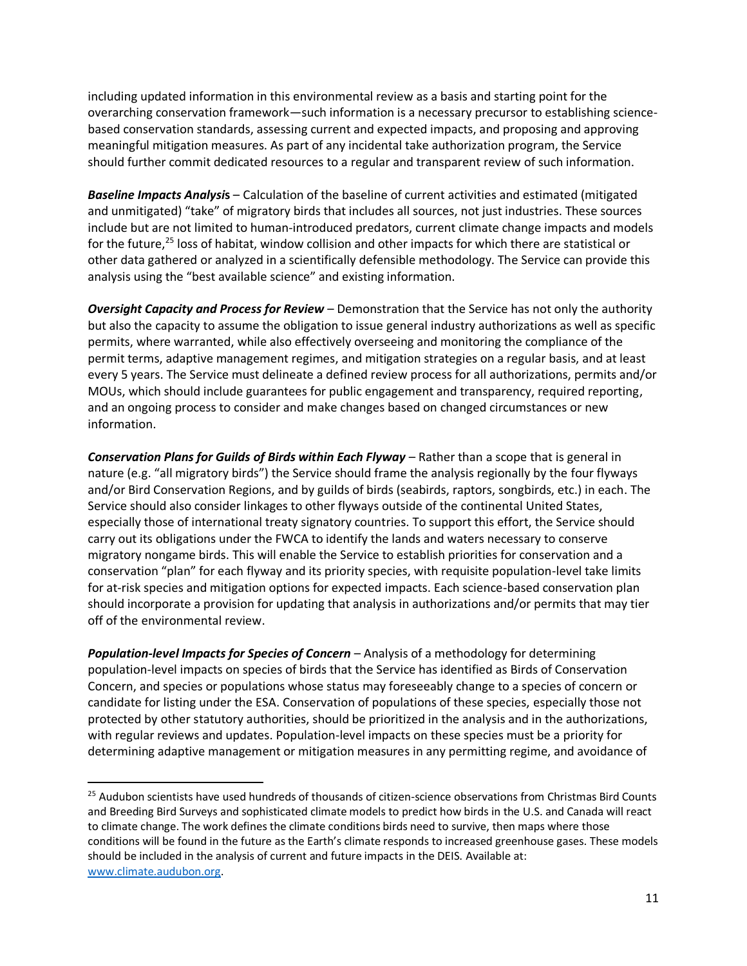including updated information in this environmental review as a basis and starting point for the overarching conservation framework—such information is a necessary precursor to establishing sciencebased conservation standards, assessing current and expected impacts, and proposing and approving meaningful mitigation measures. As part of any incidental take authorization program, the Service should further commit dedicated resources to a regular and transparent review of such information.

*Baseline Impacts Analysi***s** – Calculation of the baseline of current activities and estimated (mitigated and unmitigated) "take" of migratory birds that includes all sources, not just industries. These sources include but are not limited to human-introduced predators, current climate change impacts and models for the future,<sup>25</sup> loss of habitat, window collision and other impacts for which there are statistical or other data gathered or analyzed in a scientifically defensible methodology. The Service can provide this analysis using the "best available science" and existing information.

*Oversight Capacity and Process for Review* – Demonstration that the Service has not only the authority but also the capacity to assume the obligation to issue general industry authorizations as well as specific permits, where warranted, while also effectively overseeing and monitoring the compliance of the permit terms, adaptive management regimes, and mitigation strategies on a regular basis, and at least every 5 years. The Service must delineate a defined review process for all authorizations, permits and/or MOUs, which should include guarantees for public engagement and transparency, required reporting, and an ongoing process to consider and make changes based on changed circumstances or new information.

*Conservation Plans for Guilds of Birds within Each Flyway* – Rather than a scope that is general in nature (e.g. "all migratory birds") the Service should frame the analysis regionally by the four flyways and/or Bird Conservation Regions, and by guilds of birds (seabirds, raptors, songbirds, etc.) in each. The Service should also consider linkages to other flyways outside of the continental United States, especially those of international treaty signatory countries. To support this effort, the Service should carry out its obligations under the FWCA to identify the lands and waters necessary to conserve migratory nongame birds. This will enable the Service to establish priorities for conservation and a conservation "plan" for each flyway and its priority species, with requisite population-level take limits for at-risk species and mitigation options for expected impacts. Each science-based conservation plan should incorporate a provision for updating that analysis in authorizations and/or permits that may tier off of the environmental review.

*Population-level Impacts for Species of Concern* – Analysis of a methodology for determining population-level impacts on species of birds that the Service has identified as Birds of Conservation Concern, and species or populations whose status may foreseeably change to a species of concern or candidate for listing under the ESA. Conservation of populations of these species, especially those not protected by other statutory authorities, should be prioritized in the analysis and in the authorizations, with regular reviews and updates. Population-level impacts on these species must be a priority for determining adaptive management or mitigation measures in any permitting regime, and avoidance of

<sup>&</sup>lt;sup>25</sup> Audubon scientists have used hundreds of thousands of citizen-science observations from Christmas Bird Counts and Breeding Bird Surveys and sophisticated climate models to predict how birds in the U.S. and Canada will react to climate change. The work defines the climate conditions birds need to survive, then maps where those conditions will be found in the future as the Earth's climate responds to increased greenhouse gases. These models should be included in the analysis of current and future impacts in the DEIS. Available at: [www.climate.audubon.org.](http://www.climate.audubon.org/)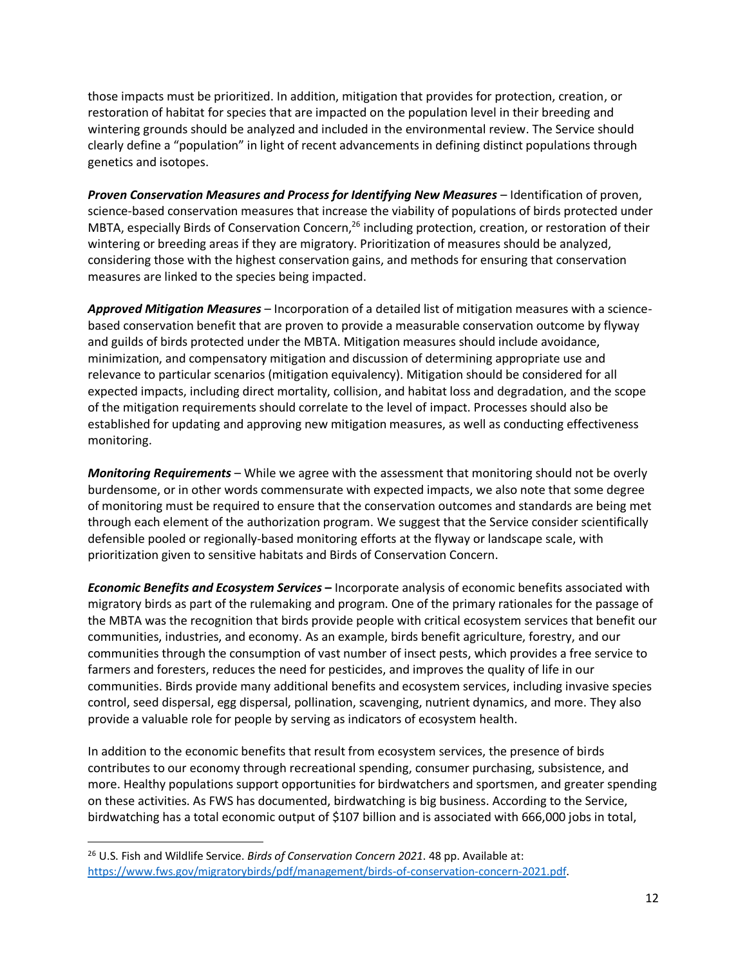those impacts must be prioritized. In addition, mitigation that provides for protection, creation, or restoration of habitat for species that are impacted on the population level in their breeding and wintering grounds should be analyzed and included in the environmental review. The Service should clearly define a "population" in light of recent advancements in defining distinct populations through genetics and isotopes.

*Proven Conservation Measures and Process for Identifying New Measures* – Identification of proven, science-based conservation measures that increase the viability of populations of birds protected under MBTA, especially Birds of Conservation Concern,<sup>26</sup> including protection, creation, or restoration of their wintering or breeding areas if they are migratory. Prioritization of measures should be analyzed, considering those with the highest conservation gains, and methods for ensuring that conservation measures are linked to the species being impacted.

*Approved Mitigation Measures* – Incorporation of a detailed list of mitigation measures with a sciencebased conservation benefit that are proven to provide a measurable conservation outcome by flyway and guilds of birds protected under the MBTA. Mitigation measures should include avoidance, minimization, and compensatory mitigation and discussion of determining appropriate use and relevance to particular scenarios (mitigation equivalency). Mitigation should be considered for all expected impacts, including direct mortality, collision, and habitat loss and degradation, and the scope of the mitigation requirements should correlate to the level of impact. Processes should also be established for updating and approving new mitigation measures, as well as conducting effectiveness monitoring.

*Monitoring Requirements* – While we agree with the assessment that monitoring should not be overly burdensome, or in other words commensurate with expected impacts, we also note that some degree of monitoring must be required to ensure that the conservation outcomes and standards are being met through each element of the authorization program. We suggest that the Service consider scientifically defensible pooled or regionally-based monitoring efforts at the flyway or landscape scale, with prioritization given to sensitive habitats and Birds of Conservation Concern.

*Economic Benefits and Ecosystem Services* **–** Incorporate analysis of economic benefits associated with migratory birds as part of the rulemaking and program. One of the primary rationales for the passage of the MBTA was the recognition that birds provide people with critical ecosystem services that benefit our communities, industries, and economy. As an example, birds benefit agriculture, forestry, and our communities through the consumption of vast number of insect pests, which provides a free service to farmers and foresters, reduces the need for pesticides, and improves the quality of life in our communities. Birds provide many additional benefits and ecosystem services, including invasive species control, seed dispersal, egg dispersal, pollination, scavenging, nutrient dynamics, and more. They also provide a valuable role for people by serving as indicators of ecosystem health.

In addition to the economic benefits that result from ecosystem services, the presence of birds contributes to our economy through recreational spending, consumer purchasing, subsistence, and more. Healthy populations support opportunities for birdwatchers and sportsmen, and greater spending on these activities. As FWS has documented, birdwatching is big business. According to the Service, birdwatching has a total economic output of \$107 billion and is associated with 666,000 jobs in total,

<sup>26</sup> U.S. Fish and Wildlife Service. *Birds of Conservation Concern 2021*. 48 pp. Available at: [https://www.fws.gov/migratorybirds/pdf/management/birds-of-conservation-concern-2021.pdf.](https://www.fws.gov/migratorybirds/pdf/management/birds-of-conservation-concern-2021.pdf)